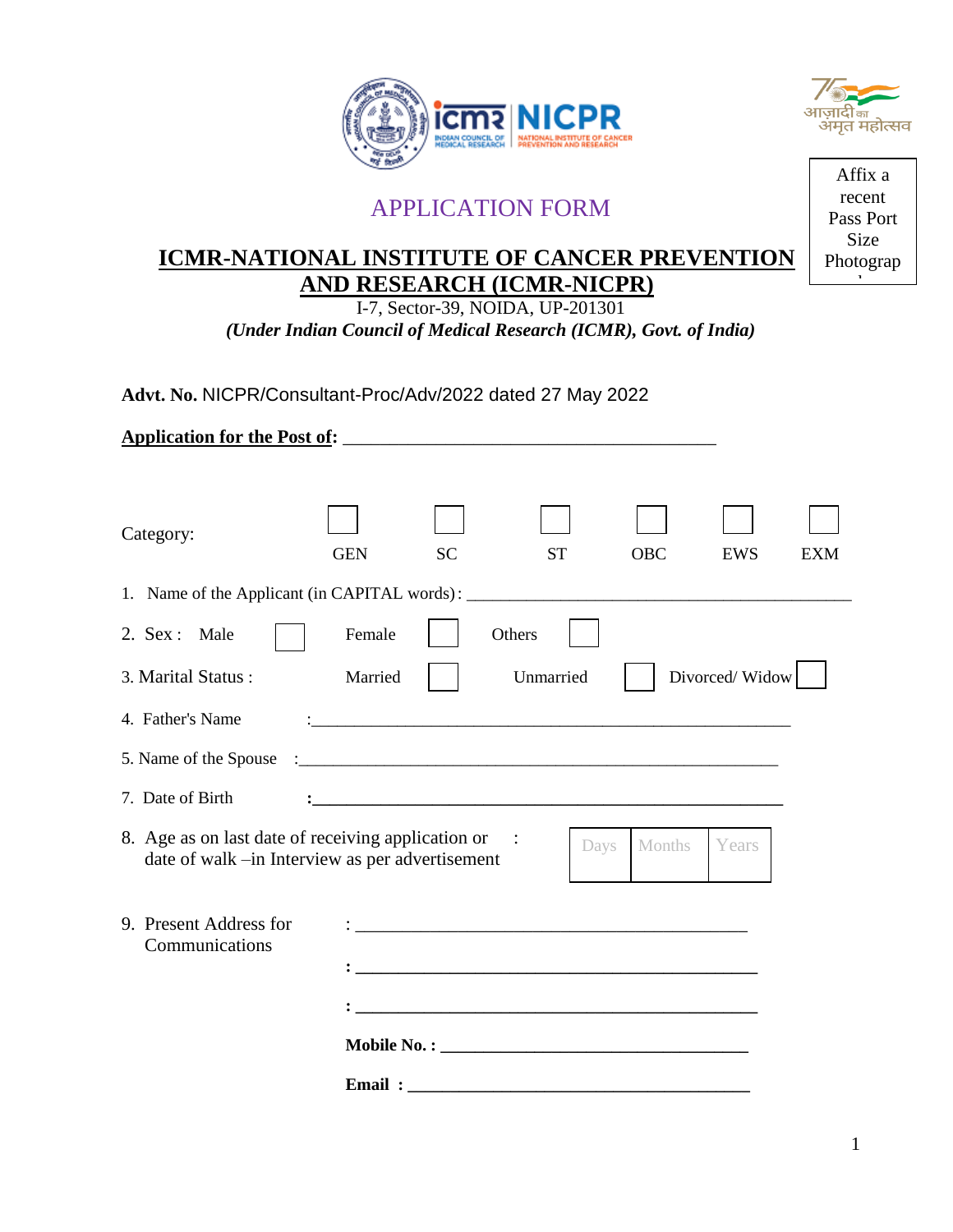



# APPLICATION FORM

## **ICMR-NATIONAL INSTITUTE OF CANCER PREVENTION AND RESEARCH (ICMR-NICPR)**

I-7, Sector-39, NOIDA, UP-201301 *(Under Indian Council of Medical Research (ICMR), Govt. of India)*

**Advt. No.** NICPR/Consultant-Proc/Adv/2022 dated 27 May 2022

| Category:                                                                                             | <b>GEN</b> | <b>SC</b> | <b>ST</b> | <b>OBC</b>     | EWS            | <b>EXM</b> |
|-------------------------------------------------------------------------------------------------------|------------|-----------|-----------|----------------|----------------|------------|
| 1. Name of the Applicant (in CAPITAL words): ___________________________________                      |            |           |           |                |                |            |
| 2. Sex : Male                                                                                         | Female     |           | Others    |                |                |            |
| 3. Marital Status:                                                                                    | Married    |           | Unmarried |                | Divorced/Widow |            |
| 4. Father's Name                                                                                      |            |           |           |                |                |            |
|                                                                                                       |            |           |           |                |                |            |
| 7. Date of Birth                                                                                      |            |           |           |                |                |            |
| 8. Age as on last date of receiving application or<br>date of walk -in Interview as per advertisement |            |           | $\sim$ 1  | Months<br>Days | Years          |            |
| 9. Present Address for<br>Communications                                                              |            |           |           |                |                |            |
|                                                                                                       | Email:     |           |           |                |                |            |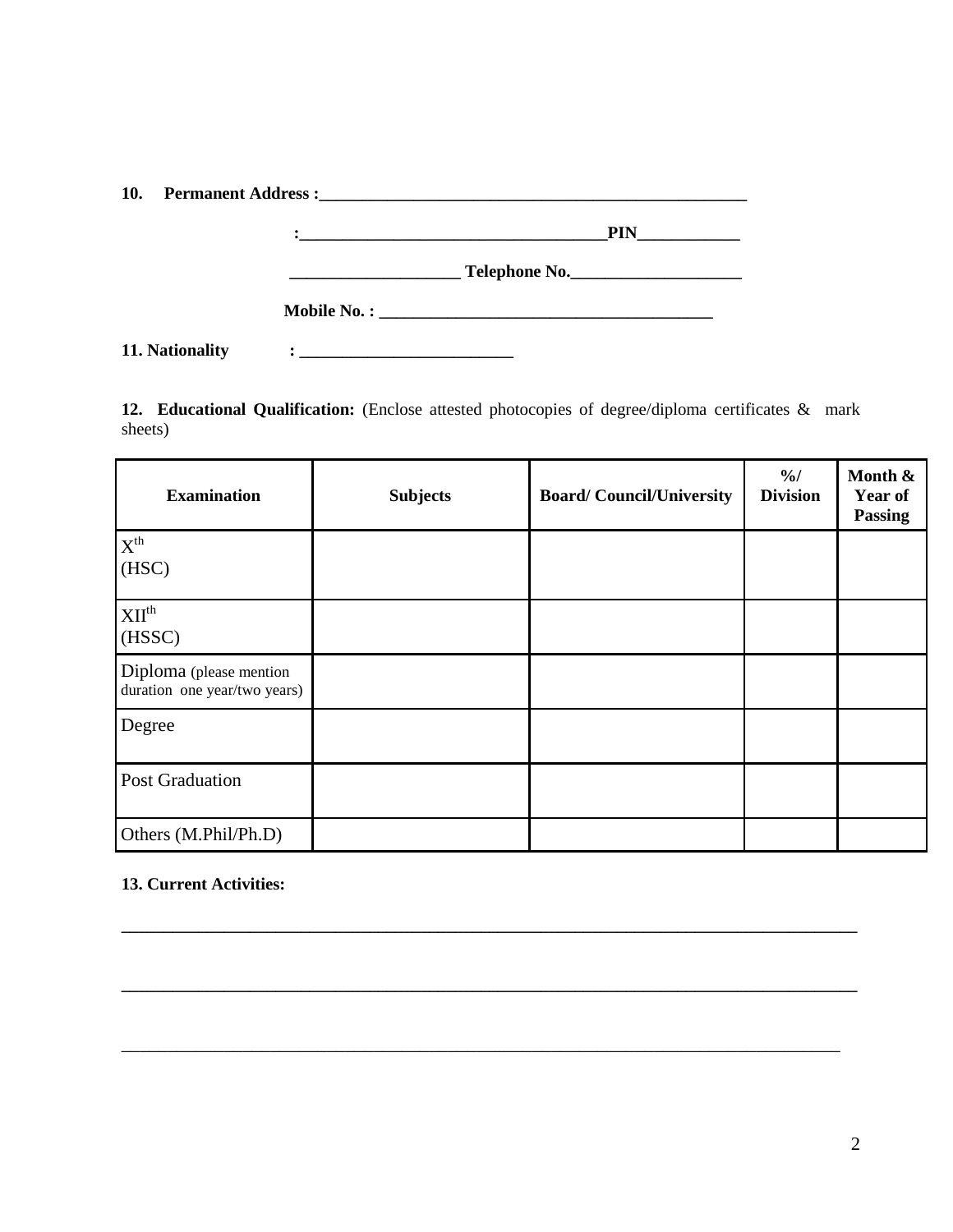|                 | $\mathbf{C}$ . The contract of the contract of the contract of the contract of the contract of the contract of the contract of the contract of the contract of the contract of the contract of the contract of the contract of th |
|-----------------|-----------------------------------------------------------------------------------------------------------------------------------------------------------------------------------------------------------------------------------|
|                 | Telephone No.                                                                                                                                                                                                                     |
|                 |                                                                                                                                                                                                                                   |
| 11. Nationality |                                                                                                                                                                                                                                   |

**12. Educational Qualification:** (Enclose attested photocopies of degree/diploma certificates & mark sheets)

| <b>Examination</b>                                      | <b>Subjects</b> | <b>Board/Council/University</b> | $\frac{0}{0}$<br><b>Division</b> | Month &<br>Year of<br><b>Passing</b> |
|---------------------------------------------------------|-----------------|---------------------------------|----------------------------------|--------------------------------------|
| $X^{th}$<br>(HSC)                                       |                 |                                 |                                  |                                      |
| XII <sup>th</sup><br>(HSSC)                             |                 |                                 |                                  |                                      |
| Diploma (please mention<br>duration one year/two years) |                 |                                 |                                  |                                      |
| Degree                                                  |                 |                                 |                                  |                                      |
| <b>Post Graduation</b>                                  |                 |                                 |                                  |                                      |
| Others (M.Phil/Ph.D)                                    |                 |                                 |                                  |                                      |

**\_\_\_\_\_\_\_\_\_\_\_\_\_\_\_\_\_\_\_\_\_\_\_\_\_\_\_\_\_\_\_\_\_\_\_\_\_\_\_\_\_\_\_\_\_\_\_\_\_\_\_\_\_\_\_\_\_\_\_\_\_\_\_\_\_\_\_\_\_\_\_\_\_\_\_\_\_\_\_\_\_\_\_\_\_\_**

**\_\_\_\_\_\_\_\_\_\_\_\_\_\_\_\_\_\_\_\_\_\_\_\_\_\_\_\_\_\_\_\_\_\_\_\_\_\_\_\_\_\_\_\_\_\_\_\_\_\_\_\_\_\_\_\_\_\_\_\_\_\_\_\_\_\_\_\_\_\_\_\_\_\_\_\_\_\_\_\_\_\_\_\_\_\_**

\_\_\_\_\_\_\_\_\_\_\_\_\_\_\_\_\_\_\_\_\_\_\_\_\_\_\_\_\_\_\_\_\_\_\_\_\_\_\_\_\_\_\_\_\_\_\_\_\_\_\_\_\_\_\_\_\_\_\_\_\_\_\_\_\_\_\_\_\_\_\_\_\_\_\_\_\_

#### **13. Current Activities:**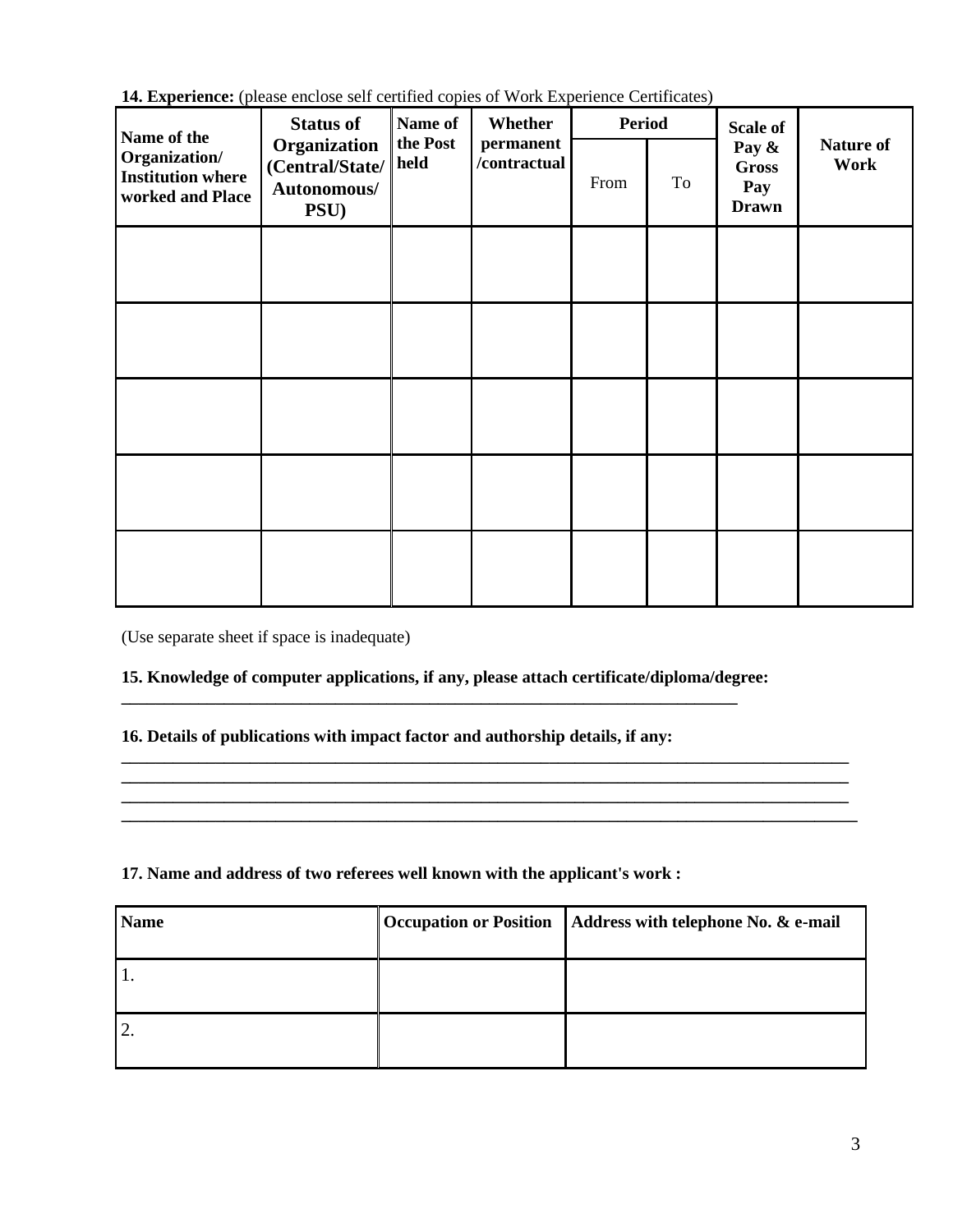**14. Experience:** (please enclose self certified copies of Work Experience Certificates)

| Name of the                                                   | <b>Status of</b>                                                                                        | Name of | Whether | <b>Period</b> |                                              | <b>Scale of</b>          |  |
|---------------------------------------------------------------|---------------------------------------------------------------------------------------------------------|---------|---------|---------------|----------------------------------------------|--------------------------|--|
| Organization/<br><b>Institution where</b><br>worked and Place | the Post<br>permanent<br>Organization<br>/contractual<br>held<br>(Central/State/<br>Autonomous/<br>PSU) |         | From    | To            | Pay &<br><b>Gross</b><br>Pay<br><b>Drawn</b> | <b>Nature of</b><br>Work |  |
|                                                               |                                                                                                         |         |         |               |                                              |                          |  |
|                                                               |                                                                                                         |         |         |               |                                              |                          |  |
|                                                               |                                                                                                         |         |         |               |                                              |                          |  |
|                                                               |                                                                                                         |         |         |               |                                              |                          |  |
|                                                               |                                                                                                         |         |         |               |                                              |                          |  |

(Use separate sheet if space is inadequate)

#### **15. Knowledge of computer applications, if any, please attach certificate/diploma/degree: \_\_\_\_\_\_\_\_\_\_\_\_\_\_\_\_\_\_\_\_\_\_\_\_\_\_\_\_\_\_\_\_\_\_\_\_\_\_\_\_\_\_\_\_\_\_\_\_\_\_\_\_\_\_\_\_\_\_\_\_\_\_\_\_\_\_\_\_\_\_\_\_**

#### **16. Details of publications with impact factor and authorship details, if any:**

### **17. Name and address of two referees well known with the applicant's work :**

| <b>Name</b> | <b>Occupation or Position</b> | Address with telephone No. & e-mail |
|-------------|-------------------------------|-------------------------------------|
|             |                               |                                     |
| ി<br>۷.     |                               |                                     |

**\_\_\_\_\_\_\_\_\_\_\_\_\_\_\_\_\_\_\_\_\_\_\_\_\_\_\_\_\_\_\_\_\_\_\_\_\_\_\_\_\_\_\_\_\_\_\_\_\_\_\_\_\_\_\_\_\_\_\_\_\_\_\_\_\_\_\_\_\_\_\_\_\_\_\_\_\_\_\_\_\_\_\_\_\_ \_\_\_\_\_\_\_\_\_\_\_\_\_\_\_\_\_\_\_\_\_\_\_\_\_\_\_\_\_\_\_\_\_\_\_\_\_\_\_\_\_\_\_\_\_\_\_\_\_\_\_\_\_\_\_\_\_\_\_\_\_\_\_\_\_\_\_\_\_\_\_\_\_\_\_\_\_\_\_\_\_\_\_\_\_ \_\_\_\_\_\_\_\_\_\_\_\_\_\_\_\_\_\_\_\_\_\_\_\_\_\_\_\_\_\_\_\_\_\_\_\_\_\_\_\_\_\_\_\_\_\_\_\_\_\_\_\_\_\_\_\_\_\_\_\_\_\_\_\_\_\_\_\_\_\_\_\_\_\_\_\_\_\_\_\_\_\_\_\_\_ \_\_\_\_\_\_\_\_\_\_\_\_\_\_\_\_\_\_\_\_\_\_\_\_\_\_\_\_\_\_\_\_\_\_\_\_\_\_\_\_\_\_\_\_\_\_\_\_\_\_\_\_\_\_\_\_\_\_\_\_\_\_\_\_\_\_\_\_\_\_\_\_\_\_\_\_\_\_\_\_\_\_\_\_\_\_**